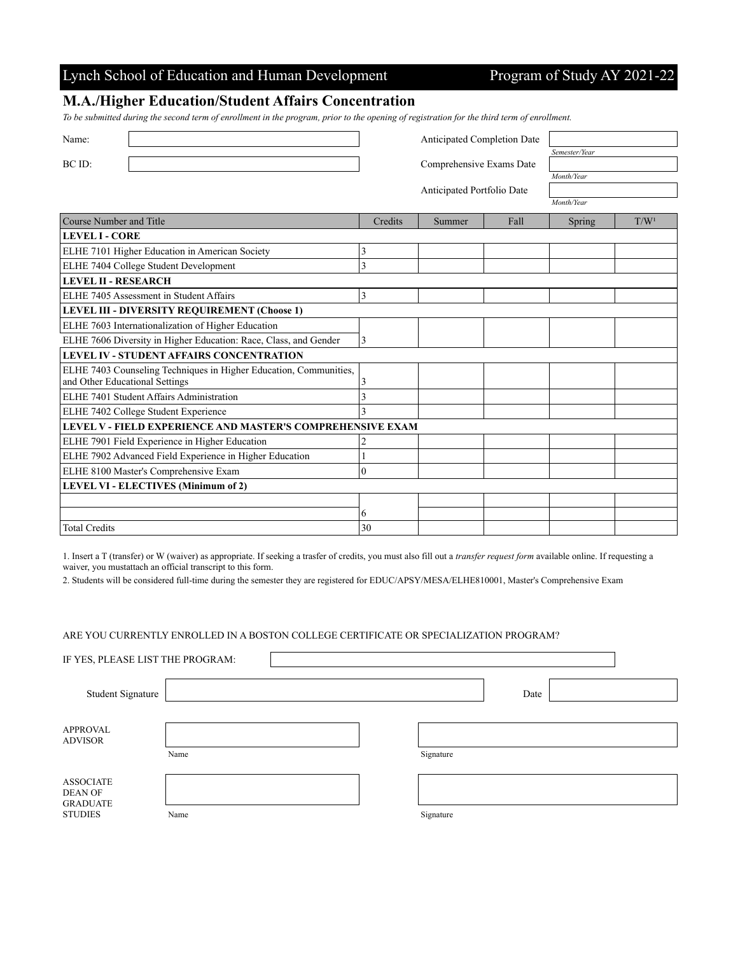## Lynch School of Education and Human Development Program of Study AY 2021-22

### **M.A./Higher Education/Student Affairs Concentration**

*To be submitted during the second term of enrollment in the program, prior to the opening of registration for the third term of enrollment.*

| Name:                                                             |                | Anticipated Completion Date |               |                  |  |
|-------------------------------------------------------------------|----------------|-----------------------------|---------------|------------------|--|
|                                                                   |                |                             | Semester/Year |                  |  |
| BC ID:                                                            |                | Comprehensive Exams Date    |               |                  |  |
|                                                                   |                |                             | Month/Year    |                  |  |
|                                                                   |                | Anticipated Portfolio Date  |               |                  |  |
|                                                                   |                |                             | Month/Year    |                  |  |
| Course Number and Title                                           | Credits        | Fall<br>Summer              | Spring        | T/W <sup>1</sup> |  |
| <b>LEVEL I - CORE</b>                                             |                |                             |               |                  |  |
| ELHE 7101 Higher Education in American Society                    | 3              |                             |               |                  |  |
| ELHE 7404 College Student Development                             | 3              |                             |               |                  |  |
| <b>LEVEL II - RESEARCH</b>                                        |                |                             |               |                  |  |
| ELHE 7405 Assessment in Student Affairs                           | $\overline{3}$ |                             |               |                  |  |
| LEVEL III - DIVERSITY REQUIREMENT (Choose 1)                      |                |                             |               |                  |  |
| ELHE 7603 Internationalization of Higher Education                |                |                             |               |                  |  |
| ELHE 7606 Diversity in Higher Education: Race, Class, and Gender  | 3              |                             |               |                  |  |
| <b>LEVEL IV - STUDENT AFFAIRS CONCENTRATION</b>                   |                |                             |               |                  |  |
| ELHE 7403 Counseling Techniques in Higher Education, Communities, |                |                             |               |                  |  |
| and Other Educational Settings                                    | 3              |                             |               |                  |  |
| ELHE 7401 Student Affairs Administration                          | 3              |                             |               |                  |  |
| ELHE 7402 College Student Experience                              | 3              |                             |               |                  |  |
| LEVEL V - FIELD EXPERIENCE AND MASTER'S COMPREHENSIVE EXAM        |                |                             |               |                  |  |
| ELHE 7901 Field Experience in Higher Education                    | 2              |                             |               |                  |  |
| ELHE 7902 Advanced Field Experience in Higher Education           |                |                             |               |                  |  |
| ELHE 8100 Master's Comprehensive Exam                             | $\theta$       |                             |               |                  |  |
| LEVEL VI - ELECTIVES (Minimum of 2)                               |                |                             |               |                  |  |
|                                                                   |                |                             |               |                  |  |
|                                                                   | 6              |                             |               |                  |  |
| <b>Total Credits</b>                                              | 30             |                             |               |                  |  |

1. Insert a T (transfer) or W (waiver) as appropriate. If seeking a trasfer of credits, you must also fill out a *transfer request form* available online. If requesting a waiver, you mustattach an official transcript to this form.

2. Students will be considered full-time during the semester they are registered for EDUC/APSY/MESA/ELHE810001, Master's Comprehensive Exam

#### ARE YOU CURRENTLY ENROLLED IN A BOSTON COLLEGE CERTIFICATE OR SPECIALIZATION PROGRAM?

| IF YES, PLEASE LIST THE PROGRAM:                                        |      |           |      |  |
|-------------------------------------------------------------------------|------|-----------|------|--|
| Student Signature                                                       |      |           | Date |  |
| <b>APPROVAL</b><br><b>ADVISOR</b>                                       | Name | Signature |      |  |
| <b>ASSOCIATE</b><br><b>DEAN OF</b><br><b>GRADUATE</b><br><b>STUDIES</b> | Name | Signature |      |  |